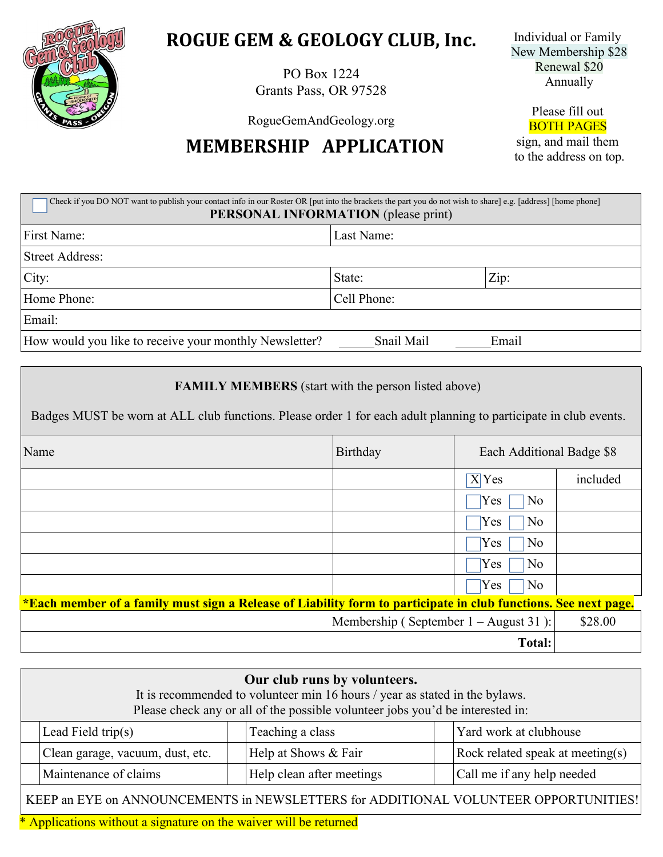

### **ROGUE GEM & GEOLOGY CLUB, Inc.**

PO Box 1224 Grants Pass, OR 97528

Individual or Family New Membership \$28 Renewal \$20 Annually

> Please fill out BOTH PAGES

sign, and mail them to the address on top.

RogueGemAndGeology.org

## **MEMBERSHIP APPLICATION**

| Check if you DO NOT want to publish your contact info in our Roster OR [put into the brackets the part you do not wish to share] e.g. [address] [home phone]<br><b>PERSONAL INFORMATION</b> (please print) |             |       |  |
|------------------------------------------------------------------------------------------------------------------------------------------------------------------------------------------------------------|-------------|-------|--|
| First Name:                                                                                                                                                                                                | Last Name:  |       |  |
| <b>Street Address:</b>                                                                                                                                                                                     |             |       |  |
| City:                                                                                                                                                                                                      | State:      | Zip:  |  |
| Home Phone:                                                                                                                                                                                                | Cell Phone: |       |  |
| Email:                                                                                                                                                                                                     |             |       |  |
| How would you like to receive your monthly Newsletter?                                                                                                                                                     | Snail Mail  | Email |  |

**FAMILY MEMBERS** (start with the person listed above)

Badges MUST be worn at ALL club functions. Please order 1 for each adult planning to participate in club events.

| Name                                                                                                            | Birthday                                | Each Additional Badge \$8    |          |
|-----------------------------------------------------------------------------------------------------------------|-----------------------------------------|------------------------------|----------|
|                                                                                                                 |                                         | $\overline{X}$ Yes           | included |
|                                                                                                                 |                                         | Yes<br>No                    |          |
|                                                                                                                 |                                         | <b>Yes</b><br>N <sub>o</sub> |          |
|                                                                                                                 |                                         | Yes<br>N <sub>0</sub>        |          |
|                                                                                                                 |                                         | Yes<br>N <sub>0</sub>        |          |
|                                                                                                                 |                                         | N <sub>o</sub><br>Yes        |          |
| *Each member of a family must sign a Release of Liability form to participate in club functions. See next page. |                                         |                              |          |
|                                                                                                                 | Membership (September $1 -$ August 31): |                              | \$28.00  |
|                                                                                                                 |                                         | Total:                       |          |

| Our club runs by volunteers.<br>It is recommended to volunteer min 16 hours / year as stated in the bylaws.<br>Please check any or all of the possible volunteer jobs you'd be interested in: |                           |                                  |
|-----------------------------------------------------------------------------------------------------------------------------------------------------------------------------------------------|---------------------------|----------------------------------|
| Lead Field trip(s)                                                                                                                                                                            | Teaching a class          | Yard work at clubhouse           |
| Clean garage, vacuum, dust, etc.                                                                                                                                                              | Help at Shows & Fair      | Rock related speak at meeting(s) |
| Maintenance of claims                                                                                                                                                                         | Help clean after meetings | Call me if any help needed       |
| KEEP an EYE on ANNOUNCEMENTS in NEWSLETTERS for ADDITIONAL VOLUNTEER OPPORTUNITIES!                                                                                                           |                           |                                  |

\* Applications without a signature on the waiver will be returned